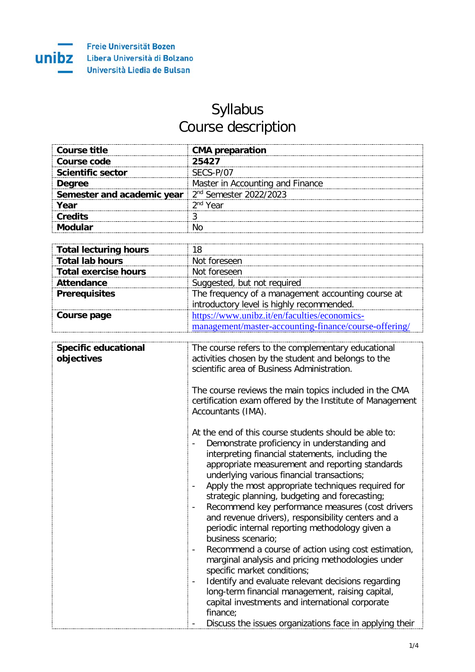

## Syllabus Course description

| Course title                                                           | <b>CMA</b> preparation           |
|------------------------------------------------------------------------|----------------------------------|
| Course code                                                            | 25427                            |
| <b>Scientific sector</b>                                               | SECS-P/07                        |
| <b>Degree</b>                                                          | Master in Accounting and Finance |
| <b>Semester and academic year</b>   2 <sup>nd</sup> Semester 2022/2023 |                                  |
| Year                                                                   | $2nd$ Year                       |
| Credits                                                                |                                  |
|                                                                        |                                  |

| <b>Total lecturing hours</b> |                                                       |
|------------------------------|-------------------------------------------------------|
| <b>Total lab hours</b>       | Not foreseen                                          |
| <b>Total exercise hours</b>  | Not foreseen                                          |
| <b>Attendance</b>            | Suggested, but not required                           |
| <b>Prerequisites</b>         | The frequency of a management accounting course at    |
|                              | introductory level is highly recommended.             |
| Course page                  | https://www.unibz.it/en/faculties/economics-          |
|                              | management/master-accounting-finance/course-offering/ |

| <b>Specific educational</b><br>objectives | The course refers to the complementary educational<br>activities chosen by the student and belongs to the<br>scientific area of Business Administration.                                                                                                                                                                                                                                                                                                                                                                                                                                                                                                                                                                                                                                                                                                                  |
|-------------------------------------------|---------------------------------------------------------------------------------------------------------------------------------------------------------------------------------------------------------------------------------------------------------------------------------------------------------------------------------------------------------------------------------------------------------------------------------------------------------------------------------------------------------------------------------------------------------------------------------------------------------------------------------------------------------------------------------------------------------------------------------------------------------------------------------------------------------------------------------------------------------------------------|
|                                           | The course reviews the main topics included in the CMA<br>certification exam offered by the Institute of Management<br>Accountants (IMA).                                                                                                                                                                                                                                                                                                                                                                                                                                                                                                                                                                                                                                                                                                                                 |
|                                           | At the end of this course students should be able to:<br>Demonstrate proficiency in understanding and<br>interpreting financial statements, including the<br>appropriate measurement and reporting standards<br>underlying various financial transactions;<br>Apply the most appropriate techniques required for<br>strategic planning, budgeting and forecasting;<br>Recommend key performance measures (cost drivers<br>and revenue drivers), responsibility centers and a<br>periodic internal reporting methodology given a<br>business scenario;<br>Recommend a course of action using cost estimation,<br>marginal analysis and pricing methodologies under<br>specific market conditions;<br>Identify and evaluate relevant decisions regarding<br>long-term financial management, raising capital,<br>capital investments and international corporate<br>finance; |
|                                           | Discuss the issues organizations face in applying their                                                                                                                                                                                                                                                                                                                                                                                                                                                                                                                                                                                                                                                                                                                                                                                                                   |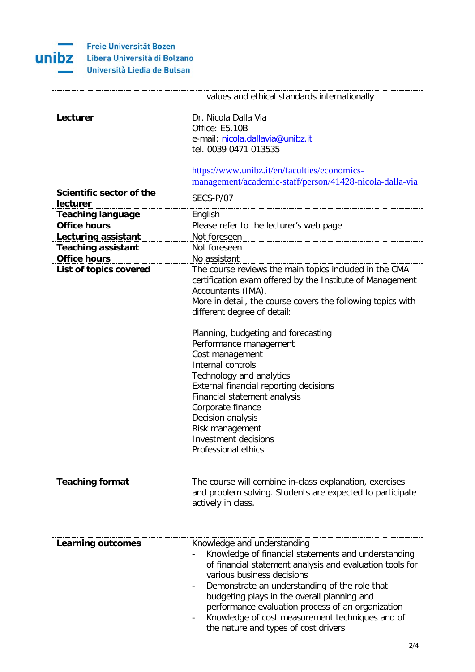

**Freie Universität Bozen** Libera Università di Bolzano

Università Liedia de Bulsan

|                           | values and ethical standards internationally                |
|---------------------------|-------------------------------------------------------------|
|                           |                                                             |
| Lecturer                  | Dr. Nicola Dalla Via                                        |
|                           | Office: E5.10B                                              |
|                           | e-mail: nicola.dallavia@unibz.it                            |
|                           | tel. 0039 0471 013535                                       |
|                           |                                                             |
|                           | https://www.unibz.it/en/faculties/economics-                |
|                           | management/academic-staff/person/41428-nicola-dalla-via     |
| Scientific sector of the  |                                                             |
| lecturer                  | SECS-P/07                                                   |
| <b>Teaching language</b>  | English                                                     |
| <b>Office hours</b>       | Please refer to the lecturer's web page                     |
| Lecturing assistant       | Not foreseen                                                |
| <b>Teaching assistant</b> | Not foreseen                                                |
| <b>Office hours</b>       | No assistant                                                |
| List of topics covered    | The course reviews the main topics included in the CMA      |
|                           | certification exam offered by the Institute of Management   |
|                           | Accountants (IMA).                                          |
|                           | More in detail, the course covers the following topics with |
|                           | different degree of detail:                                 |
|                           |                                                             |
|                           | Planning, budgeting and forecasting                         |
|                           | Performance management                                      |
|                           | Cost management                                             |
|                           | Internal controls                                           |
|                           | Technology and analytics                                    |
|                           | External financial reporting decisions                      |
|                           | Financial statement analysis                                |
|                           | Corporate finance                                           |
|                           | Decision analysis                                           |
|                           | Risk management                                             |
|                           | <b>Investment decisions</b>                                 |
|                           | Professional ethics                                         |
|                           |                                                             |
|                           |                                                             |
| <b>Teaching format</b>    | The course will combine in-class explanation, exercises     |
|                           | and problem solving. Students are expected to participate   |
|                           | actively in class.                                          |

| <b>Learning outcomes</b> | Knowledge and understanding<br>Knowledge of financial statements and understanding<br>of financial statement analysis and evaluation tools for<br>various business decisions<br>Demonstrate an understanding of the role that |
|--------------------------|-------------------------------------------------------------------------------------------------------------------------------------------------------------------------------------------------------------------------------|
|                          | budgeting plays in the overall planning and<br>performance evaluation process of an organization<br>Knowledge of cost measurement techniques and of<br>the nature and types of cost drivers                                   |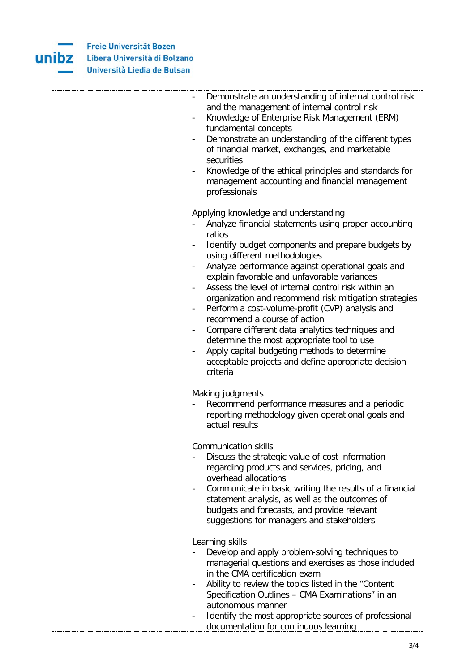

| Demonstrate an understanding of internal control risk<br>$\overline{\phantom{a}}$<br>and the management of internal control risk<br>Knowledge of Enterprise Risk Management (ERM)<br>$\overline{\phantom{a}}$<br>fundamental concepts<br>Demonstrate an understanding of the different types<br>$\blacksquare$<br>of financial market, exchanges, and marketable<br>securities<br>Knowledge of the ethical principles and standards for<br>management accounting and financial management<br>professionals                                                                                                                                                                                                                                                                                                                                                                            |
|---------------------------------------------------------------------------------------------------------------------------------------------------------------------------------------------------------------------------------------------------------------------------------------------------------------------------------------------------------------------------------------------------------------------------------------------------------------------------------------------------------------------------------------------------------------------------------------------------------------------------------------------------------------------------------------------------------------------------------------------------------------------------------------------------------------------------------------------------------------------------------------|
| Applying knowledge and understanding<br>Analyze financial statements using proper accounting<br>ratios<br>Identify budget components and prepare budgets by<br>$\overline{\phantom{a}}$<br>using different methodologies<br>Analyze performance against operational goals and<br>$\overline{\phantom{a}}$<br>explain favorable and unfavorable variances<br>Assess the level of internal control risk within an<br>$\overline{\phantom{a}}$<br>organization and recommend risk mitigation strategies<br>Perform a cost-volume-profit (CVP) analysis and<br>$\overline{\phantom{a}}$<br>recommend a course of action<br>Compare different data analytics techniques and<br>$\overline{\phantom{a}}$<br>determine the most appropriate tool to use<br>Apply capital budgeting methods to determine<br>$\blacksquare$<br>acceptable projects and define appropriate decision<br>criteria |
| Making judgments<br>Recommend performance measures and a periodic<br>reporting methodology given operational goals and<br>actual results                                                                                                                                                                                                                                                                                                                                                                                                                                                                                                                                                                                                                                                                                                                                              |
| <b>Communication skills</b><br>Discuss the strategic value of cost information<br>regarding products and services, pricing, and<br>overhead allocations<br>Communicate in basic writing the results of a financial<br>$\qquad \qquad \blacksquare$<br>statement analysis, as well as the outcomes of<br>budgets and forecasts, and provide relevant<br>suggestions for managers and stakeholders                                                                                                                                                                                                                                                                                                                                                                                                                                                                                      |
| Learning skills<br>Develop and apply problem-solving techniques to<br>managerial questions and exercises as those included<br>in the CMA certification exam<br>Ability to review the topics listed in the "Content<br>Specification Outlines - CMA Examinations" in an<br>autonomous manner<br>Identify the most appropriate sources of professional<br>documentation for continuous learning                                                                                                                                                                                                                                                                                                                                                                                                                                                                                         |